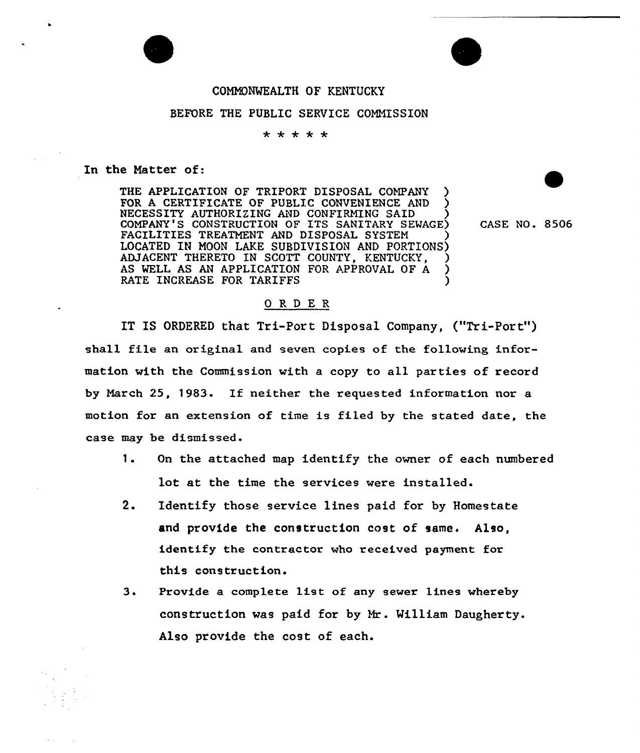

# COMMONWEALTH OF KENTUCKY

## BEFORE THE PUBLIC SERVICE COMMISSION

#### \* \* \* \* \*

### In the Natter of:

THE APPLICATION OF TRIPORT DISPOSAL COMPANY FOR A CERTIFICATE OF PUBLIC CONVENIENCE AND NECESSITY AUTHORIZING AND CONFIRMING SAID ) COMPANY'S CONSTRUCTION OF ITS SANITARY SEWAGE) FACILITIES TREATMENT AND DISPOSAL SYSTEM LOCATED IN MOON LAKE SUBDIVISION AND PORTIONS) ADJACENT THERETO IN SCOTT COUNTY, KENTUCKY. AS WELL AS AN APPLICATION FOR APPROVAL OF A RATE INCREASE FOR TARIFFS

CASE NO. 8506

### ORDER

IT IS ORDERED that Tri-Port Disposal Company, ("Tri-Port" ) shall file an original and seven copies of the following information with the Commission with a copy to all parties of record by March 25, 1983. If neither the requested information nor <sup>a</sup> motion for an extension of time is filed by the stated date, the case may be dismissed.

- 1. On the attached map identify the owner of each numbered lot at the time the services were installed.
- 2. Identify those service lines paid for by Homestate and provide the construction cost of same. Also, identify the contractor who received payment for this construction.
- $3.$ Provide a complete list of any sewer lines whereby construction was paid for by Mr. William Daugherty. Also provide the cost of each.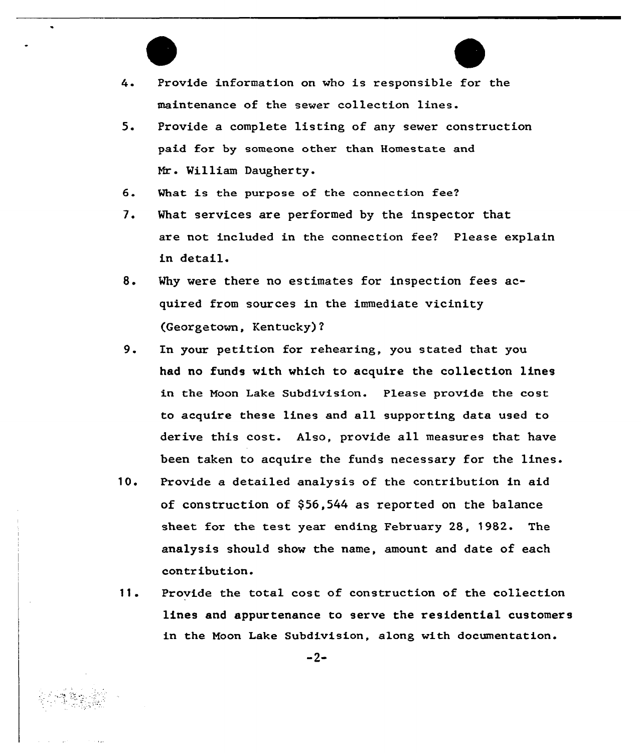

4. Provide information on who is responsible for the maintenance of the sewer collection lines.

- 5. Provide a complete listing of any sewer construction paid for by someone other than Homestate and William Daugherty.
- 6. What is the purpose of the connection fee?
- 7. What services are performed by the inspector that are not included in the connection fee? Please explain in detail.
- 8. Why were there no estimates for inspection fees acquired from soux ces in the immediate vicinity (Georgetown, Kentucky)?
- 9. In your petition for rehearing, you stated that you had no funds with which to acquire the collection lines in the Moon Lake Subdivision. Please provide the cost to acquire these lines and all supporting data used to derive this cost. Also, provide all measures that have been taken to acquire the funds necessary fox the lines.
- 10. Provide a detailed analysis of the contribution in aid of construction of \$56,544 as reported on the balance sheet for the test year ending, February 28, 1982. The analysis should show the name, amount and date of each contribution.
- 11. Provide the total cost of construction of the collection lines and appurtenance to serve the residential customers in the Noon Lake Subdivision, along with documentation.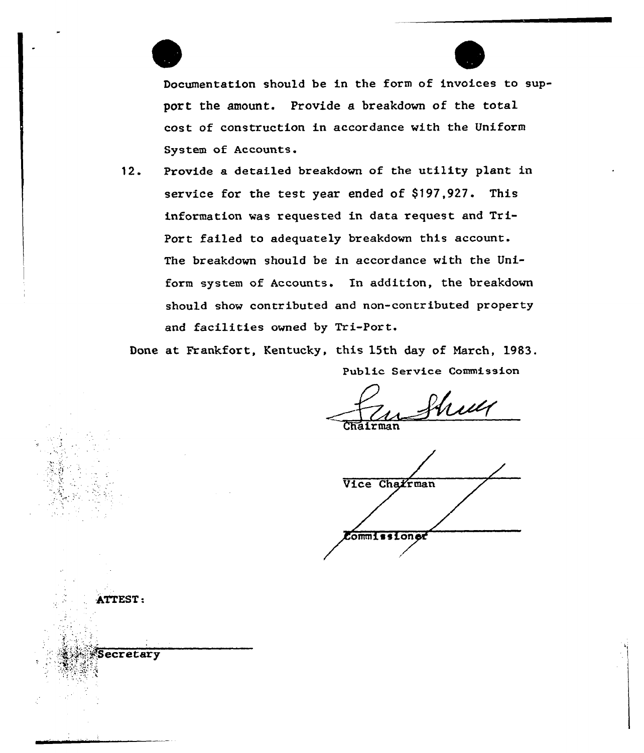

-A&EST:

ecretary

Documentation should be in the form of invoices to support the amount. Provide a breakdown of the total cost of construction in accordance with the Uniform System of Accounts.

12. Provide a detailed breakdown of the utility plant in service for the test year ended of \$197,927. This information was requested in data request and Tri-Port failed to adequately breakdown this account. The breakdown should be in accordance with the Uniform system of Accounts. In addition, the breakdown should show contributed and non-contributed property and facilities owned by Tri-Port.

Done at Frankfort, Kentucky, this 15th day of March, 1983. Public Service Commission

Shull Chairman

Vice Charrman ommi ssion